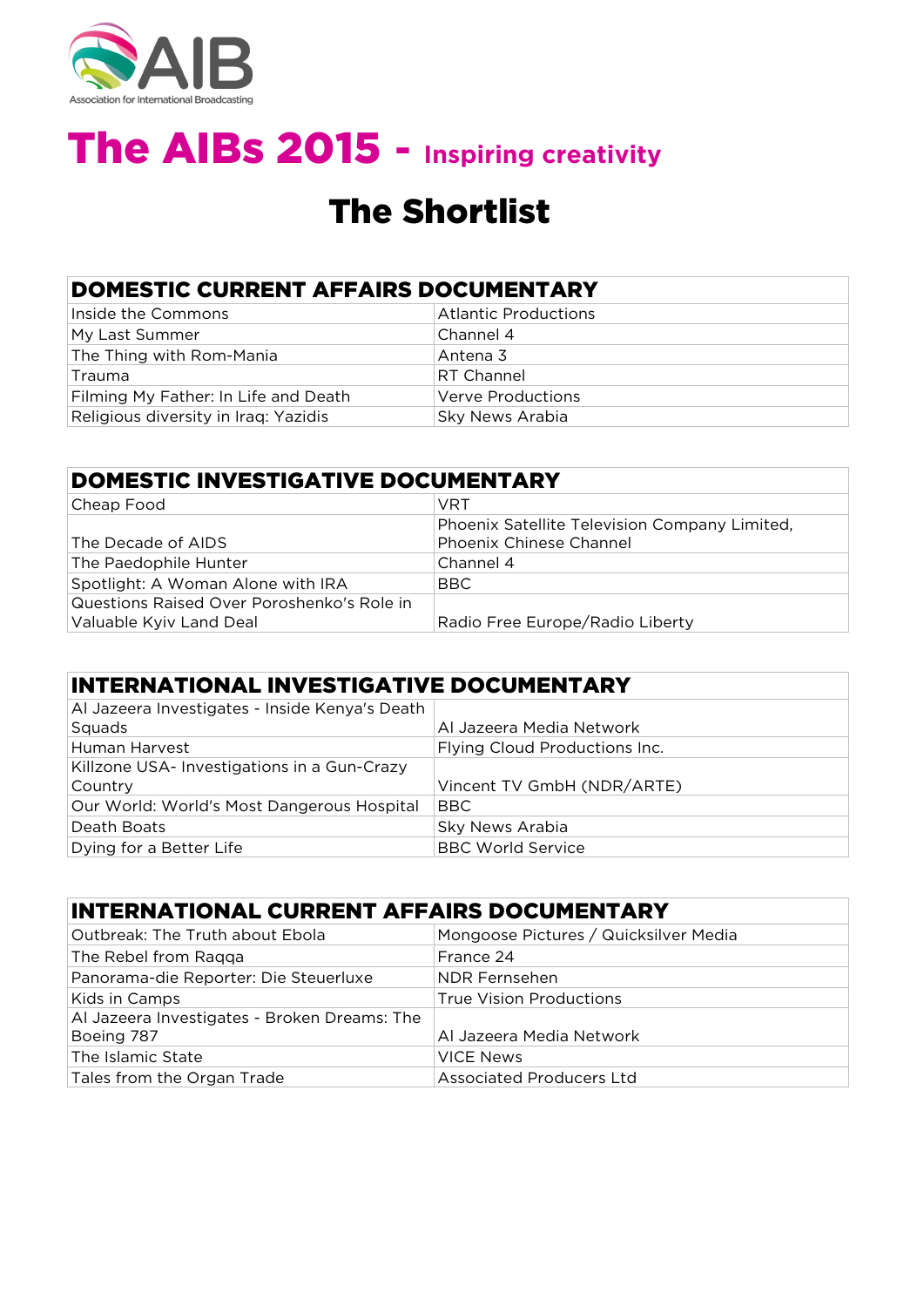

### The Shortlist

### DOMESTIC CURRENT AFFAIRS DOCUMENTARY

| Inside the Commons                   | <b>Atlantic Productions</b> |
|--------------------------------------|-----------------------------|
| My Last Summer                       | Channel 4                   |
| The Thing with Rom-Mania             | Antena 3                    |
| Trauma                               | <b>RT Channel</b>           |
| Filming My Father: In Life and Death | Verve Productions           |
| Religious diversity in Iraq: Yazidis | Sky News Arabia             |

| DOMESTIC INVESTIGATIVE DOCUMENTARY         |                                               |  |
|--------------------------------------------|-----------------------------------------------|--|
| Cheap Food                                 | VRT                                           |  |
|                                            | Phoenix Satellite Television Company Limited, |  |
| The Decade of AIDS                         | Phoenix Chinese Channel                       |  |
| The Paedophile Hunter                      | Channel 4                                     |  |
| Spotlight: A Woman Alone with IRA          | BBC                                           |  |
| Questions Raised Over Poroshenko's Role in |                                               |  |
| Valuable Kyiv Land Deal                    | Radio Free Europe/Radio Liberty               |  |

| INTERNATIONAL INVESTIGATIVE DOCUMENTARY        |                               |  |
|------------------------------------------------|-------------------------------|--|
| Al Jazeera Investigates - Inside Kenya's Death |                               |  |
| Squads                                         | Al Jazeera Media Network      |  |
| Human Harvest                                  | Flying Cloud Productions Inc. |  |
| Killzone USA-Investigations in a Gun-Crazy     |                               |  |
| Country                                        | Vincent TV GmbH (NDR/ARTE)    |  |
| Our World: World's Most Dangerous Hospital     | <b>BBC</b>                    |  |
| Death Boats                                    | Sky News Arabia               |  |
| Dying for a Better Life                        | <b>BBC World Service</b>      |  |

#### INTERNATIONAL CURRENT AFFAIRS DOCUMENTARY

| Outbreak: The Truth about Ebola              | Mongoose Pictures / Quicksilver Media |
|----------------------------------------------|---------------------------------------|
| The Rebel from Raqqa                         | France 24                             |
| Panorama-die Reporter: Die Steuerluxe        | NDR Fernsehen                         |
| Kids in Camps                                | <b>True Vision Productions</b>        |
| Al Jazeera Investigates - Broken Dreams: The |                                       |
| Boeing 787                                   | Al Jazeera Media Network              |
| The Islamic State                            | <b>VICE News</b>                      |
| Tales from the Organ Trade                   | <b>Associated Producers Ltd</b>       |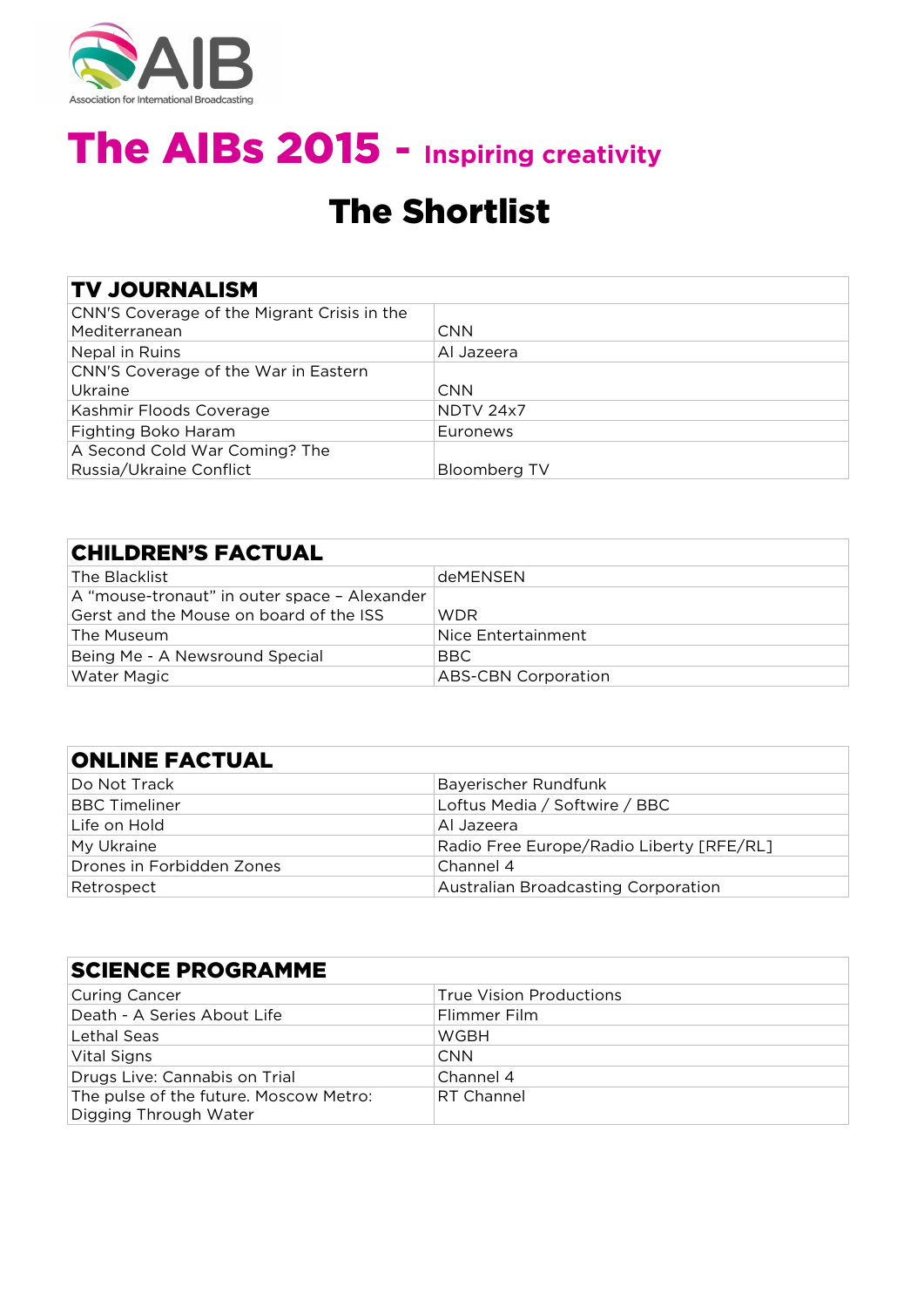

### The Shortlist

#### TV JOURNALISM

| CNN'S Coverage of the Migrant Crisis in the<br>Mediterranean | <b>CNN</b>   |
|--------------------------------------------------------------|--------------|
| Nepal in Ruins                                               | Al Jazeera   |
| CNN'S Coverage of the War in Eastern                         |              |
| Ukraine                                                      | <b>CNN</b>   |
| Kashmir Floods Coverage                                      | NDTV 24x7    |
| Fighting Boko Haram                                          | Euronews     |
| A Second Cold War Coming? The                                |              |
| Russia/Ukraine Conflict                                      | Bloomberg TV |

#### CHILDREN'S FACTUAL

| The Blacklist                                | <b>deMFNSFN</b>            |
|----------------------------------------------|----------------------------|
| A "mouse-tronaut" in outer space – Alexander |                            |
| Gerst and the Mouse on board of the ISS      | <b>WDR</b>                 |
| The Museum                                   | Nice Entertainment         |
| Being Me - A Newsround Special               | BBC                        |
| <b>Water Magic</b>                           | <b>ABS-CBN Corporation</b> |

#### ONLINE FACTUAL

| Do Not Track              | Bayerischer Rundfunk                       |
|---------------------------|--------------------------------------------|
| <b>BBC Timeliner</b>      | Loftus Media / Softwire / BBC              |
| Life on Hold              | Al Jazeera                                 |
| My Ukraine                | Radio Free Europe/Radio Liberty [RFE/RL]   |
| Drones in Forbidden Zones | Channel 4                                  |
| Retrospect                | <b>Australian Broadcasting Corporation</b> |

| <b>SCIENCE PROGRAMME</b>                                        |                                |  |
|-----------------------------------------------------------------|--------------------------------|--|
| Curing Cancer                                                   | <b>True Vision Productions</b> |  |
| Death - A Series About Life                                     | Flimmer Film                   |  |
| Lethal Seas                                                     | WGBH                           |  |
| Vital Signs                                                     | <b>CNN</b>                     |  |
| Drugs Live: Cannabis on Trial                                   | Channel 4                      |  |
| The pulse of the future. Moscow Metro:<br>Digging Through Water | RT Channel                     |  |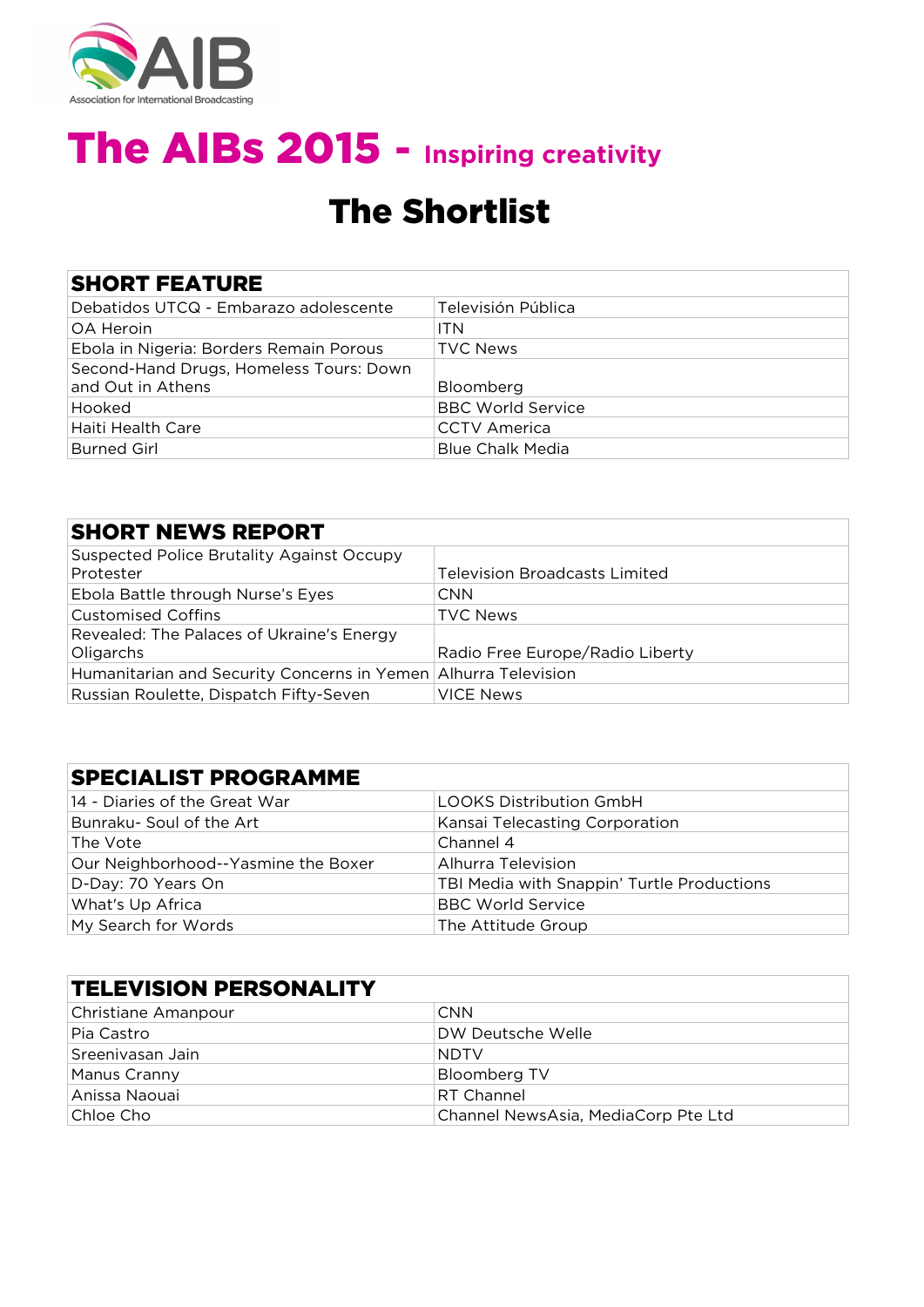

## The Shortlist

|  | <b>SHORT FEATURE</b> |  |
|--|----------------------|--|
|  |                      |  |

| Debatidos UTCQ - Embarazo adolescente   | Televisión Pública       |
|-----------------------------------------|--------------------------|
| <b>OA Heroin</b>                        | <b>ITN</b>               |
| Ebola in Nigeria: Borders Remain Porous | <b>TVC News</b>          |
| Second-Hand Drugs, Homeless Tours: Down |                          |
|                                         |                          |
| and Out in Athens                       | Bloomberg                |
| Hooked                                  | <b>BBC World Service</b> |
| Haiti Health Care                       | <b>CCTV</b> America      |

| <b>SHORT NEWS REPORT</b>                                       |                                      |
|----------------------------------------------------------------|--------------------------------------|
| <b>Suspected Police Brutality Against Occupy</b><br>Protester  | <b>Television Broadcasts Limited</b> |
|                                                                |                                      |
| Ebola Battle through Nurse's Eyes                              | <b>CNN</b>                           |
| <b>Customised Coffins</b>                                      | <b>TVC News</b>                      |
| Revealed: The Palaces of Ukraine's Energy                      |                                      |
| Oligarchs                                                      | Radio Free Europe/Radio Liberty      |
| Humanitarian and Security Concerns in Yemen Alhurra Television |                                      |
| Russian Roulette, Dispatch Fifty-Seven                         | VICE News                            |

### SPECIALIST PROGRAMME

| 14 - Diaries of the Great War       | <b>LOOKS Distribution GmbH</b>             |
|-------------------------------------|--------------------------------------------|
| Bunraku- Soul of the Art            | Kansai Telecasting Corporation             |
| The Vote                            | Channel 4                                  |
| Our Neighborhood--Yasmine the Boxer | Alhurra Television                         |
| D-Day: 70 Years On                  | TBI Media with Snappin' Turtle Productions |
| What's Up Africa                    | <b>BBC World Service</b>                   |
| My Search for Words                 | The Attitude Group                         |

| <b>TELEVISION PERSONALITY</b> |                                     |
|-------------------------------|-------------------------------------|
| Christiane Amanpour           | <b>CNN</b>                          |
| Pia Castro                    | DW Deutsche Welle                   |
| Sreenivasan Jain              | <b>NDTV</b>                         |
| Manus Cranny                  | <b>Bloomberg TV</b>                 |
| Anissa Naouai                 | <b>RT Channel</b>                   |
| Chloe Cho                     | Channel NewsAsia, MediaCorp Pte Ltd |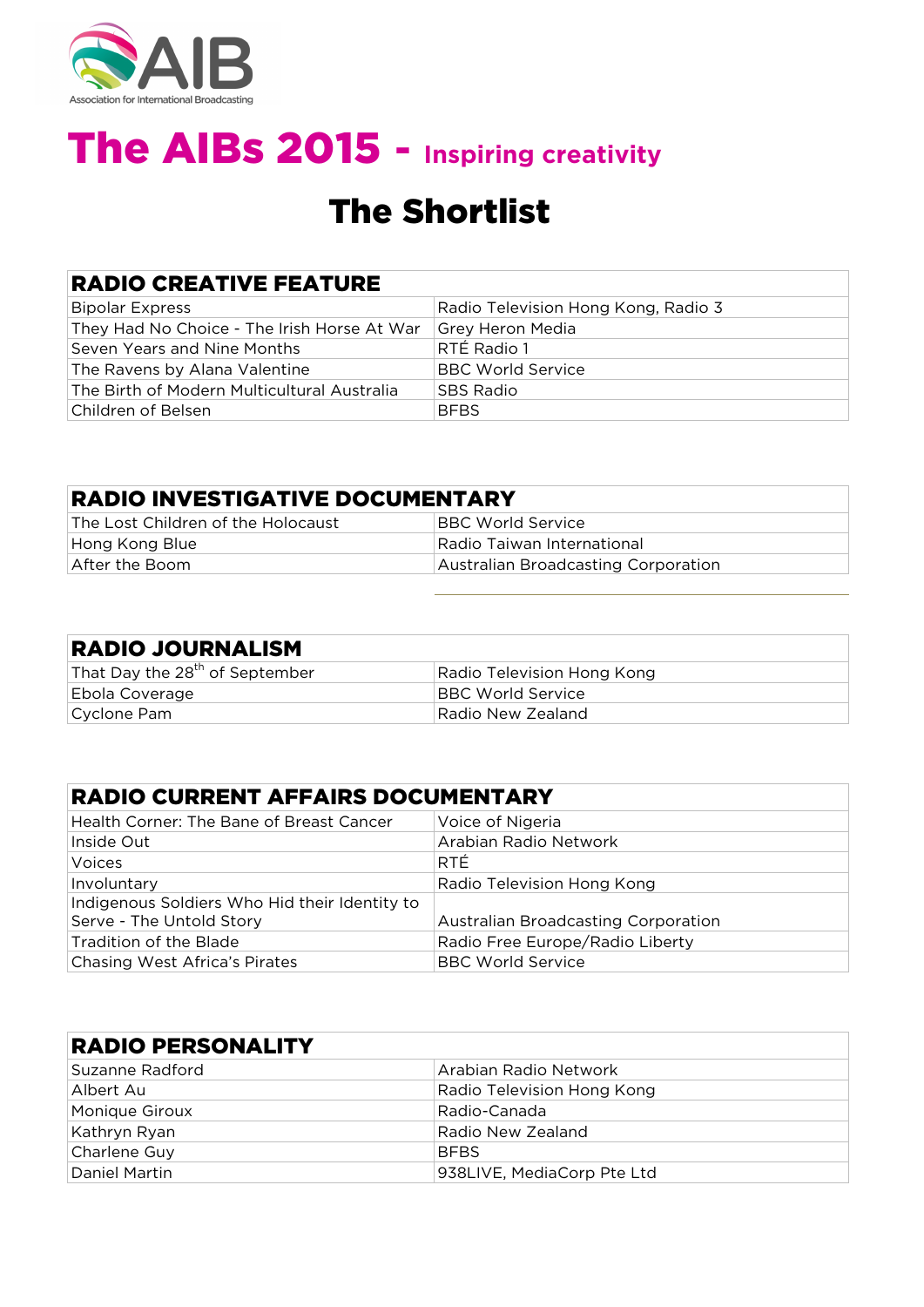

## The Shortlist

#### RADIO CREATIVE FEATURE

| Bipolar Express                             | Radio Television Hong Kong, Radio 3 |
|---------------------------------------------|-------------------------------------|
| They Had No Choice - The Irish Horse At War | Grey Heron Media                    |
| Seven Years and Nine Months                 | RTÉ Radio 1                         |
| The Ravens by Alana Valentine               | <b>BBC World Service</b>            |
| The Birth of Modern Multicultural Australia | <b>SBS Radio</b>                    |
| Children of Belsen                          | <b>BFBS</b>                         |

| <b>RADIO INVESTIGATIVE DOCUMENTARY</b> |                                     |
|----------------------------------------|-------------------------------------|
| The Lost Children of the Holocaust     | <b>BBC World Service</b>            |
| Hong Kong Blue                         | Radio Taiwan International          |
| After the Boom                         | Australian Broadcasting Corporation |

| <b>RADIO JOURNALISM</b>                    |                            |
|--------------------------------------------|----------------------------|
| That Day the 28 <sup>th</sup> of September | Radio Television Hong Kong |
| Ebola Coverage                             | BBC World Service          |
| Cyclone Pam                                | Radio New Zealand          |

| <b>RADIO CURRENT AFFAIRS DOCUMENTARY</b>      |                                     |  |
|-----------------------------------------------|-------------------------------------|--|
| Health Corner: The Bane of Breast Cancer      | Voice of Nigeria                    |  |
| Inside Out                                    | Arabian Radio Network               |  |
| Voices                                        | RTÉ.                                |  |
| Involuntary                                   | Radio Television Hong Kong          |  |
| Indigenous Soldiers Who Hid their Identity to |                                     |  |
| Serve - The Untold Story                      | Australian Broadcasting Corporation |  |
| Tradition of the Blade                        | Radio Free Europe/Radio Liberty     |  |
| Chasing West Africa's Pirates                 | <b>BBC World Service</b>            |  |

| <b>RADIO PERSONALITY</b> |                            |  |
|--------------------------|----------------------------|--|
| Suzanne Radford          | Arabian Radio Network      |  |
| Albert Au                | Radio Television Hong Kong |  |
| Monique Giroux           | Radio-Canada               |  |
| Kathryn Ryan             | Radio New Zealand          |  |
| Charlene Guy             | <b>BFBS</b>                |  |
| Daniel Martin            | 938LIVE, MediaCorp Pte Ltd |  |